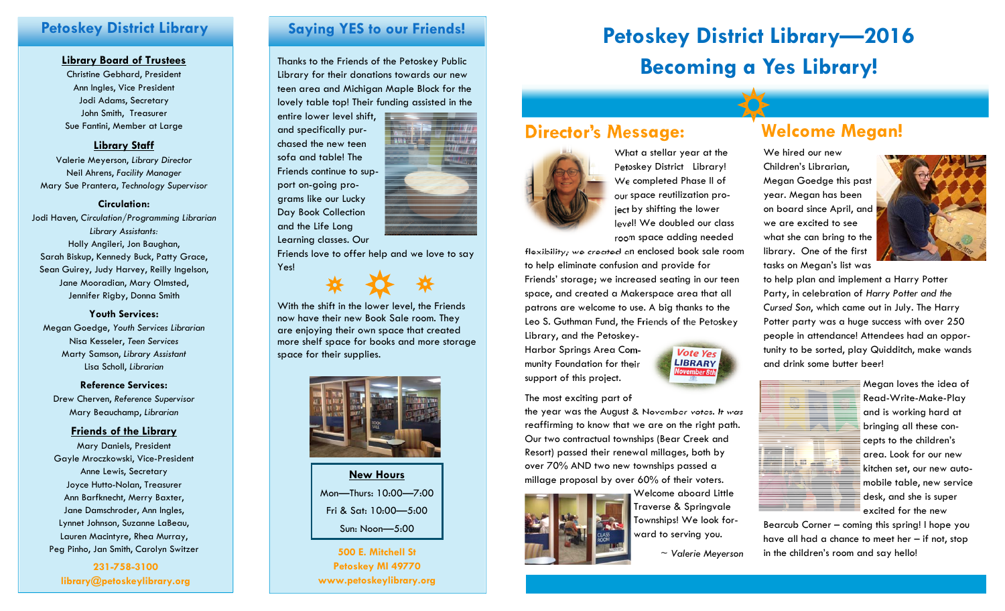### **Petoskey District Library**

#### **Library Board of Trustees**

Christine Gebhard, President Ann Ingles, Vice President Jodi Adams, Secretary John Smith, Treasurer Sue Fantini, Member at Large

### **Library Staff**

Valerie Meyerson, *Library Director* Neil Ahrens, *Facility Manager* Mary Sue Prantera, *Technology Supervisor*

#### **Circulation:**

Jodi Haven, *Circulation/Programming Librarian Library Assistants:*  Holly Angileri, Jon Baughan, Sarah Biskup, Kennedy Buck, Patty Grace, Sean Guirey, Judy Harvey, Reilly Ingelson, Jane Mooradian, Mary Olmsted, Jennifer Rigby, Donna Smith

**Youth Services:** Megan Goedge, *Youth Services Librarian* Nisa Kesseler, *Teen Services* Marty Samson, *Library Assistant* Lisa Scholl, *Librarian* 

**Reference Services:** Drew Cherven, *Reference Supervisor*  Mary Beauchamp, *Librarian* 

#### **Friends of the Library**

Mary Daniels, President Gayle Mroczkowski, Vice-President Anne Lewis, Secretary Joyce Hutto-Nolan, Treasurer Ann Barfknecht, Merry Baxter, Jane Damschroder, Ann Ingles, Lynnet Johnson, Suzanne LaBeau, Lauren Macintyre, Rhea Murray, Peg Pinho, Jan Smith, Carolyn Switzer **1988 1998 12:300 E. Mitchell St** 

**231-758-3100 library@petoskeylibrary.org** 

### **Saying YES to our Friends!**

Thanks to the Friends of the Petoskey Public Library for their donations towards our new teen area and Michigan Maple Block for the lovely table top! Their funding assisted in the

entire lower level shift, and specifically purchased the new teen sofa and table! The Friends continue to support on-going programs like our Lucky Day Book Collection and the Life Long Learning classes. Our

Friends love to offer help and we love to say Yes!

With the shift in the lower level, the Friends now have their new Book Sale room. They are enjoying their own space that created more shelf space for books and more storage space for their supplies.



**New Hours** Mon—Thurs: 10:00—7:00 Fri & Sat: 10:00—5:00 Sun: Noon—5:00

**Petoskey MI 49770 www.petoskeylibrary.org** 

# **Petoskey District Library—2016 Becoming a Yes Library!**

# **Director's Message:**



What a stellar year at the Petoskey District Library! We completed Phase II of our space reutilization project by shifting the lower level! We doubled our class room space adding needed

flexibility; we created an enclosed book sale room to help eliminate confusion and provide for Friends' storage; we increased seating in our teen space, and created a Makerspace area that all patrons are welcome to use. A big thanks to the Leo S. Guthman Fund, the Friends of the Petoskey Library, and the Petoskey-

Harbor Springs Area Community Foundation for their support of this project.

#### The most exciting part of

the year was the August & November votes. It was reaffirming to know that we are on the right path. Our two contractual townships (Bear Creek and Resort) passed their renewal millages, both by over 70% AND two new townships passed a millage proposal by over 60% of their voters.



Welcome aboard Little Traverse & Springvale Townships! We look forward to serving you.

<sup>~</sup>*Valerie Meyerson*

**Vote Yes LIBRARY** 

# **Welcome Megan!**

We hired our new Children's Librarian, Megan Goedge this past year. Megan has been on board since April, and we are excited to see what she can bring to the library. One of the first tasks on Megan's list was



to help plan and implement a Harry Potter Party, in celebration of *Harry Potter and the Cursed Son*, which came out in July. The Harry Potter party was a huge success with over 250 people in attendance! Attendees had an opportunity to be sorted, play Quidditch, make wands and drink some butter beer!



Megan loves the idea of Read-Write-Make-Play and is working hard at bringing all these concepts to the children's area. Look for our new kitchen set, our new automobile table, new service desk, and she is super excited for the new

Bearcub Corner – coming this spring! I hope you have all had a chance to meet her – if not, stop in the children's room and say hello!